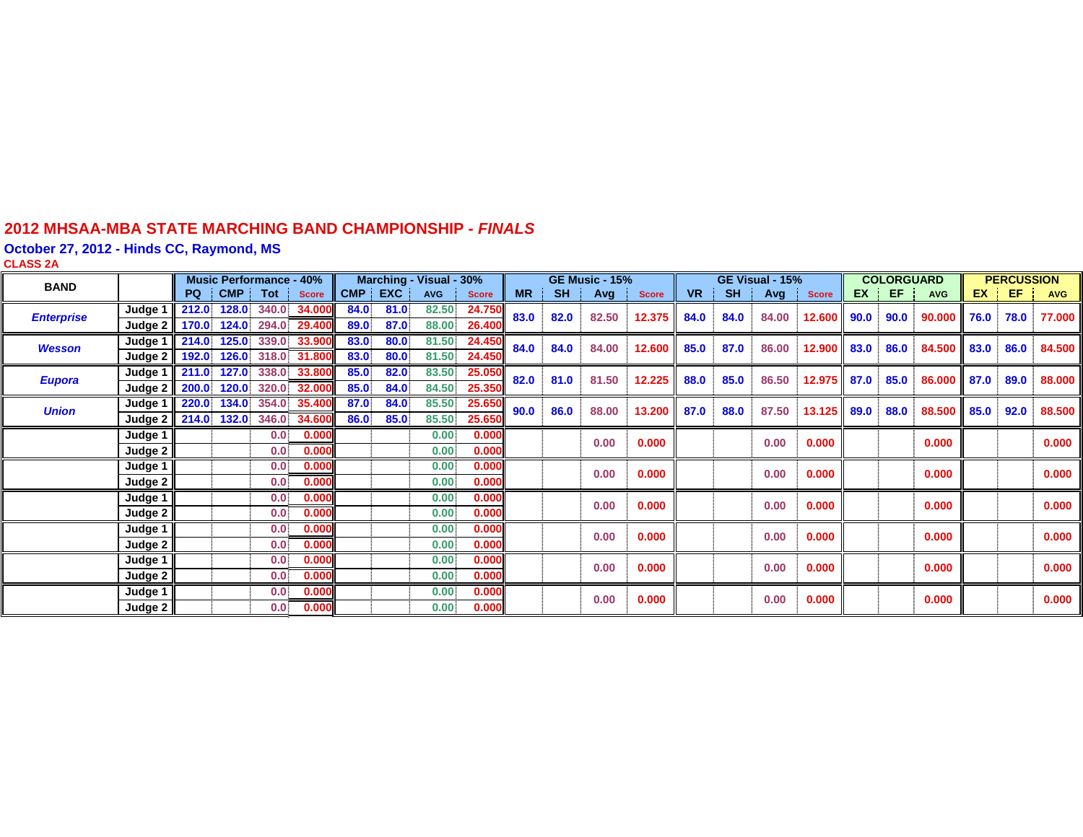#### **2012 MHSAA-MBA STATE MARCHING BAND CHAMPIONSHIP -** *FINAL S*

**October 27, 2012 - Hinds CC, Raymond, MS**

| CLASS 2A          |                                  |       |                                |                  |                          |      |            |                         |              |           |               |                       |              |           |           |                 |              |      |                   |            |      |                   |            |
|-------------------|----------------------------------|-------|--------------------------------|------------------|--------------------------|------|------------|-------------------------|--------------|-----------|---------------|-----------------------|--------------|-----------|-----------|-----------------|--------------|------|-------------------|------------|------|-------------------|------------|
| <b>BAND</b>       |                                  |       | <b>Music Performance - 40%</b> |                  |                          |      |            | Marching - Visual - 30% |              |           |               | <b>GE Music - 15%</b> |              |           |           | GE Visual - 15% |              |      | <b>COLORGUARD</b> |            |      | <b>PERCUSSION</b> |            |
|                   |                                  | PQ    | CMP !                          | Tot              | <b>Score</b>             | CMP  | <b>EXC</b> | <b>AVG</b>              | <b>Score</b> | <b>MR</b> | <b>SH</b>     | Avg                   | <b>Score</b> | <b>VR</b> | <b>SH</b> | Avg             | <b>Score</b> | EX   | EF.               | <b>AVG</b> | EX   | -EF               | <b>AVG</b> |
| <b>Enterprise</b> | Judge 1                          | 212.0 |                                |                  | 128.0 340.0 34.000       | 84.0 | 81.0       | 82.50                   | 24.750       | 83.0      |               | 82.0<br>82.50         | 12.375       | 84.0      | 84.0      | 84.00           | 12.600       | 90.0 | 90.0              | 90.000     | 76.0 | 78.0              | 77.000     |
|                   | Judge 2 170.0 124.0 294.0 29.400 |       |                                |                  |                          | 89.0 | 87.0       | 88,00                   | 26.400       |           |               |                       |              |           |           |                 |              |      |                   |            |      |                   |            |
| <b>Wesson</b>     | Judge 1                          | 214.0 |                                |                  | 125.0 339.0 33.900       | 83.0 | 80.0       | 81.50                   | 24.450       | 84.0      | 84.0<br>84.00 | 12.600                | 85.0         | 87.0      | 86.00     | 12.900          | 83.0         | 86.0 | 84.500            | 83.0       | 86.0 | 84.500            |            |
|                   | Judge 2                          | 192.0 |                                |                  | 126.0 318.0 31.800       | 83.0 | 80.0       | 81.50                   | 24.450       |           |               |                       |              |           |           |                 |              |      |                   |            |      |                   |            |
| <b>Eupora</b>     | Judge 1                          | 211.0 |                                |                  | 127.0 338.0 33.800       | 85.0 | 82.0       | 83.50                   | 25.050       | 82.0      | 81.0          | 81.50                 | 12.225       | 88.0      | 85.0      | 86.50           | 12.975       | 87.0 | 85.0              | 86.000     | 87.0 | 89.0              | 88.000     |
|                   | Judge 2                          | 200.0 | 120.0                          |                  | 320.0 32.000             | 85.0 | 84.0       | 84.50                   | 25.350       |           |               |                       |              |           |           |                 |              |      |                   |            |      |                   |            |
| <b>Union</b>      | Judge 1                          |       |                                |                  | 220.0 134.0 354.0 35.400 | 87.0 | 84.0       | 85.50                   | 25.650       | 90.0      | 86.0          | 88.00                 | 13.200       | 87.0      | 88.0      | 87.50           | 13.125       | 89.0 | 88.0              | 88.500     | 85.0 | 92.0              | 88.500     |
|                   | Judge 2 214.0 132.0 346.0 34.600 |       |                                |                  |                          | 86.0 | 85.0       | 85.50                   | 25.650       |           |               |                       |              |           |           |                 |              |      |                   |            |      |                   |            |
|                   | Judge 1                          |       |                                | 0.0 <sub>1</sub> | 0.000                    |      |            | 0.00                    | 0.000        |           |               | 0.00                  | 0.000        |           |           | 0.00            | 0.000        |      |                   | 0.000      |      |                   | 0.000      |
|                   | Judge 2                          |       |                                | 0.0              | 0.000                    |      |            | 0.00.                   | 0.000        |           |               |                       |              |           |           |                 |              |      |                   |            |      |                   |            |
|                   | Judge 1                          |       |                                | 0.0              | 0.000                    |      |            | 0.00                    | 0.000        |           |               | 0.00                  | 0.000        |           |           | 0.00            | 0.000        |      |                   | 0.000      |      |                   | 0.000      |
|                   | Judge 2                          |       |                                | 0.0              | 0.000                    |      |            | 0.00                    | 0.000        |           |               |                       |              |           |           |                 |              |      |                   |            |      |                   |            |
|                   | Judge 1                          |       |                                | 0.0 <sub>1</sub> | 0.000                    |      |            | 0.00                    | 0.000        |           |               | 0.00                  | 0.000        |           |           | 0.00            | 0.000        |      |                   | 0.000      |      |                   | 0.000      |
|                   | Judge 2                          |       |                                | 0.0              | 0.000                    |      |            | 0.00                    | 0.000        |           |               |                       |              |           |           |                 |              |      |                   |            |      |                   |            |
|                   | Judge 1                          |       |                                | 0.0              | 0.000                    |      |            | 0.00                    | 0.000        |           |               | 0.00                  | 0.000        |           |           | 0.00            | 0.000        |      |                   | 0.000      |      |                   | 0.000      |
|                   | Judge 2                          |       |                                | 0.0              | 0.000                    |      |            | 0.00                    | 0.000        |           |               |                       |              |           |           |                 |              |      |                   |            |      |                   |            |
|                   | Judge 1                          |       |                                | 0.0              | 0.000                    |      |            | 0.00                    | 0.000        |           |               | 0.00                  | 0.000        |           |           | 0.00            | 0.000        |      |                   | 0.000      |      |                   | 0.000      |
|                   | Judge 2                          |       |                                | 0.0              | 0.000                    |      |            | 0.00                    | 0.000        |           |               |                       |              |           |           |                 |              |      |                   |            |      |                   |            |
|                   | Judge 1                          |       |                                | 0.0              | 0.000                    |      |            | 0.00                    | 0.000        |           |               | 0.00                  | 0.000        |           |           | 0.00            | 0.000        |      |                   | 0.000      |      |                   | 0.000      |
|                   | Judge 2                          |       |                                | 0.0              | 0.000                    |      |            | 0.00                    | 0.000        |           |               |                       |              |           |           |                 |              |      |                   |            |      |                   |            |
|                   |                                  |       |                                |                  |                          |      |            |                         |              |           |               |                       |              |           |           |                 |              |      |                   |            |      |                   |            |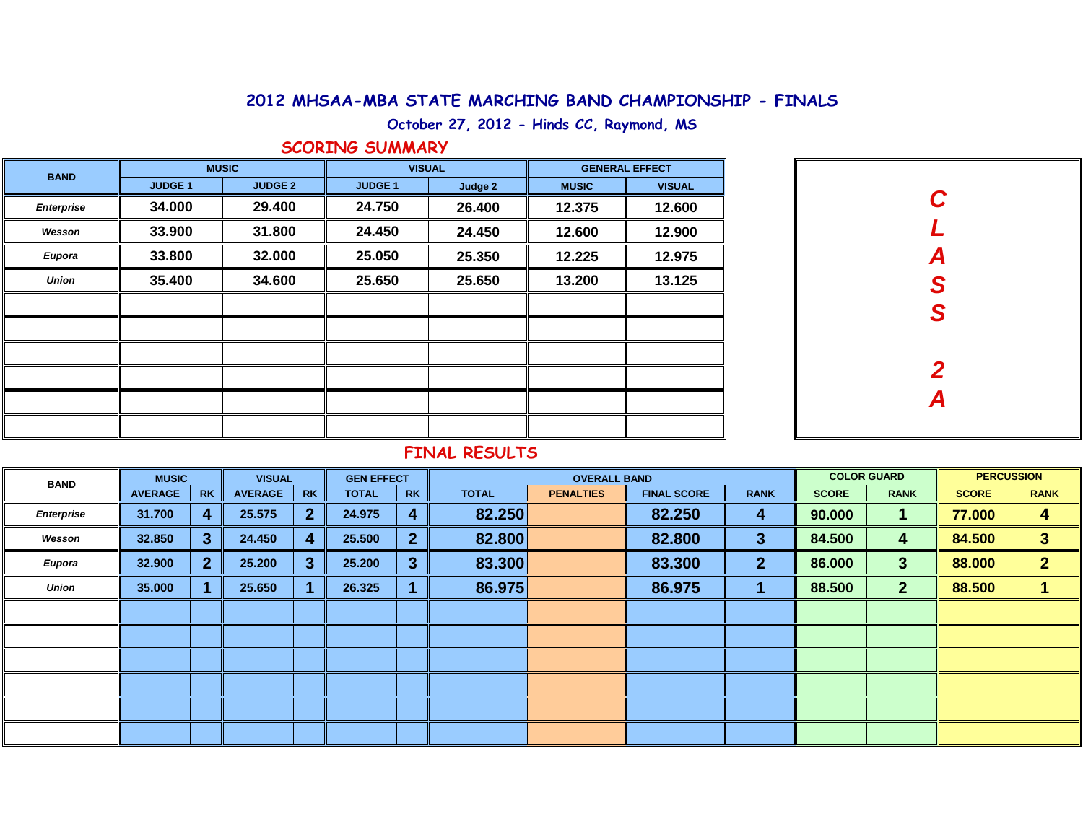## **2012 MHSAA-MBA STATE MARCHING BAND CHAMPIONSHIP - FINALS**

**October 27, 2012 - Hinds CC, Raymond, MS**

### **SCORING SUMMARY**

| <b>BAND</b>       | <b>MUSIC</b>   |                | <b>VISUAL</b>  |         | <b>GENERAL EFFECT</b> |               |  |  |
|-------------------|----------------|----------------|----------------|---------|-----------------------|---------------|--|--|
|                   | <b>JUDGE 1</b> | <b>JUDGE 2</b> | <b>JUDGE 1</b> | Judge 2 | <b>MUSIC</b>          | <b>VISUAL</b> |  |  |
| <b>Enterprise</b> | 34.000         | 29.400         | 24.750         | 26.400  | 12.375                | 12.600        |  |  |
| Wesson            | 33.900         | 31.800         | 24.450         | 24.450  | 12.600                | 12.900        |  |  |
| Eupora            | 33.800         | 32.000         | 25.050         | 25.350  | 12.225                | 12.975        |  |  |
| <b>Union</b>      | 35.400         | 34.600         | 25.650         | 25.650  | 13.200                | 13.125        |  |  |
|                   |                |                |                |         |                       |               |  |  |
|                   |                |                |                |         |                       |               |  |  |
|                   |                |                |                |         |                       |               |  |  |
|                   |                |                |                |         |                       |               |  |  |
|                   |                |                |                |         |                       |               |  |  |
|                   |                |                |                |         |                       |               |  |  |

| C<br>L<br>A<br>S<br>S |
|-----------------------|
|                       |
|                       |
| $\frac{2}{A}$         |
|                       |
|                       |

## **FINAL RESULTS**

| <b>BAND</b>  | <b>MUSIC</b>   |                | <b>VISUAL</b>  |           | <b>GEN EFFECT</b> |                | <b>OVERALL BAND</b> |                  |                    |                | <b>COLOR GUARD</b> |              | <b>PERCUSSION</b> |                |
|--------------|----------------|----------------|----------------|-----------|-------------------|----------------|---------------------|------------------|--------------------|----------------|--------------------|--------------|-------------------|----------------|
|              | <b>AVERAGE</b> | <b>RK</b>      | <b>AVERAGE</b> | <b>RK</b> | <b>TOTAL</b>      | <b>RK</b>      | <b>TOTAL</b>        | <b>PENALTIES</b> | <b>FINAL SCORE</b> | <b>RANK</b>    | <b>SCORE</b>       | <b>RANK</b>  | <b>SCORE</b>      | <b>RANK</b>    |
| Enterprise   | 31.700         | 4              | 25.575         |           | 24.975            | $\overline{4}$ | 82.250              |                  | 82.250             | 4              | 90.000             |              | 77.000            | 4              |
| Wesson       | 32.850         | 3 <sup>1</sup> | 24.450         |           | 25.500            | $\overline{2}$ | 82.800              |                  | 82.800             | 3              | 84.500             | 4            | 84.500            | 3              |
| Eupora       | 32.900         | 2 <sup>1</sup> | 25.200         | 3         | 25.200            | $\overline{3}$ | 83.300              |                  | 83.300             | $\overline{2}$ | 86.000             | 3            | 88.000            | $\overline{2}$ |
| <b>Union</b> | 35.000         |                | 25.650         |           | 26.325            |                | 86.975              |                  | 86.975             |                | 88.500             | $\mathbf{2}$ | 88.500            |                |
|              |                |                |                |           |                   |                |                     |                  |                    |                |                    |              |                   |                |
|              |                |                |                |           |                   |                |                     |                  |                    |                |                    |              |                   |                |
|              |                |                |                |           |                   |                |                     |                  |                    |                |                    |              |                   |                |
|              |                |                |                |           |                   |                |                     |                  |                    |                |                    |              |                   |                |
|              |                |                |                |           |                   |                |                     |                  |                    |                |                    |              |                   |                |
|              |                |                |                |           |                   |                |                     |                  |                    |                |                    |              |                   |                |